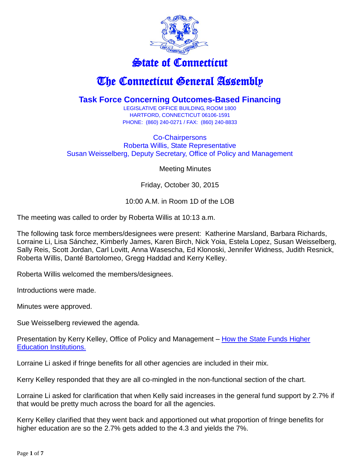

## State of Connecticut

## The Connecticut General Assembly

## **Task Force Concerning Outcomes-Based Financing**

LEGISLATIVE OFFICE BUILDING, ROOM 1800 HARTFORD, CONNECTICUT 06106-1591 PHONE: (860) 240-0271 / FAX: (860) 240-8833

Co-Chairpersons Roberta Willis, State Representative Susan Weisselberg, Deputy Secretary, Office of Policy and Management

Meeting Minutes

Friday, October 30, 2015

## 10:00 A.M. in Room 1D of the LOB

The meeting was called to order by Roberta Willis at 10:13 a.m.

The following task force members/designees were present: Katherine Marsland, Barbara Richards, Lorraine Li, Lisa Sánchez, Kimberly James, Karen Birch, Nick Yoia, Estela Lopez, Susan Weisselberg, Sally Reis, Scott Jordan, Carl Lovitt, Anna Wasescha, Ed Klonoski, Jennifer Widness, Judith Resnick, Roberta Willis, Danté Bartolomeo, Gregg Haddad and Kerry Kelley.

Roberta Willis welcomed the members/designees.

Introductions were made.

Minutes were approved.

Sue Weisselberg reviewed the agenda.

Presentation by Kerry Kelley, Office of Policy and Management – [How the State Funds Higher](https://www.cga.ct.gov/hed/tfs/20150716_Task%20Force%20Concerning%20Outcomes-Based%20Financing/20151030/How%20the%20State%20Funds%20Higher%20Education%20Institutions.pdf)  [Education Institutions.](https://www.cga.ct.gov/hed/tfs/20150716_Task%20Force%20Concerning%20Outcomes-Based%20Financing/20151030/How%20the%20State%20Funds%20Higher%20Education%20Institutions.pdf)

Lorraine Li asked if fringe benefits for all other agencies are included in their mix.

Kerry Kelley responded that they are all co-mingled in the non-functional section of the chart.

Lorraine Li asked for clarification that when Kelly said increases in the general fund support by 2.7% if that would be pretty much across the board for all the agencies.

Kerry Kelley clarified that they went back and apportioned out what proportion of fringe benefits for higher education are so the 2.7% gets added to the 4.3 and yields the 7%.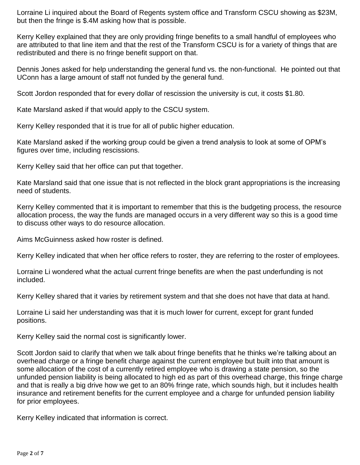Lorraine Li inquired about the Board of Regents system office and Transform CSCU showing as \$23M, but then the fringe is \$.4M asking how that is possible.

Kerry Kelley explained that they are only providing fringe benefits to a small handful of employees who are attributed to that line item and that the rest of the Transform CSCU is for a variety of things that are redistributed and there is no fringe benefit support on that.

Dennis Jones asked for help understanding the general fund vs. the non-functional. He pointed out that UConn has a large amount of staff not funded by the general fund.

Scott Jordon responded that for every dollar of rescission the university is cut, it costs \$1.80.

Kate Marsland asked if that would apply to the CSCU system.

Kerry Kelley responded that it is true for all of public higher education.

Kate Marsland asked if the working group could be given a trend analysis to look at some of OPM's figures over time, including rescissions.

Kerry Kelley said that her office can put that together.

Kate Marsland said that one issue that is not reflected in the block grant appropriations is the increasing need of students.

Kerry Kelley commented that it is important to remember that this is the budgeting process, the resource allocation process, the way the funds are managed occurs in a very different way so this is a good time to discuss other ways to do resource allocation.

Aims McGuinness asked how roster is defined.

Kerry Kelley indicated that when her office refers to roster, they are referring to the roster of employees.

Lorraine Li wondered what the actual current fringe benefits are when the past underfunding is not included.

Kerry Kelley shared that it varies by retirement system and that she does not have that data at hand.

Lorraine Li said her understanding was that it is much lower for current, except for grant funded positions.

Kerry Kelley said the normal cost is significantly lower.

Scott Jordon said to clarify that when we talk about fringe benefits that he thinks we're talking about an overhead charge or a fringe benefit charge against the current employee but built into that amount is some allocation of the cost of a currently retired employee who is drawing a state pension, so the unfunded pension liability is being allocated to high ed as part of this overhead charge, this fringe charge and that is really a big drive how we get to an 80% fringe rate, which sounds high, but it includes health insurance and retirement benefits for the current employee and a charge for unfunded pension liability for prior employees.

Kerry Kelley indicated that information is correct.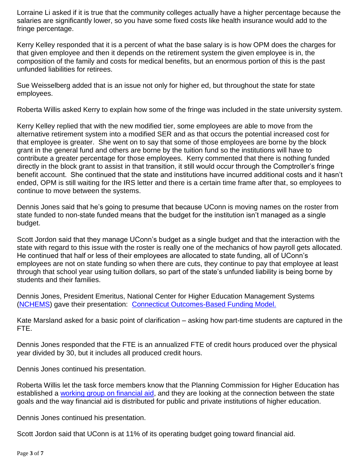Lorraine Li asked if it is true that the community colleges actually have a higher percentage because the salaries are significantly lower, so you have some fixed costs like health insurance would add to the fringe percentage.

Kerry Kelley responded that it is a percent of what the base salary is is how OPM does the charges for that given employee and then it depends on the retirement system the given employee is in, the composition of the family and costs for medical benefits, but an enormous portion of this is the past unfunded liabilities for retirees.

Sue Weisselberg added that is an issue not only for higher ed, but throughout the state for state employees.

Roberta Willis asked Kerry to explain how some of the fringe was included in the state university system.

Kerry Kelley replied that with the new modified tier, some employees are able to move from the alternative retirement system into a modified SER and as that occurs the potential increased cost for that employee is greater. She went on to say that some of those employees are borne by the block grant in the general fund and others are borne by the tuition fund so the institutions will have to contribute a greater percentage for those employees. Kerry commented that there is nothing funded directly in the block grant to assist in that transition, it still would occur through the Comptroller's fringe benefit account. She continued that the state and institutions have incurred additional costs and it hasn't ended, OPM is still waiting for the IRS letter and there is a certain time frame after that, so employees to continue to move between the systems.

Dennis Jones said that he's going to presume that because UConn is moving names on the roster from state funded to non-state funded means that the budget for the institution isn't managed as a single budget.

Scott Jordon said that they manage UConn's budget as a single budget and that the interaction with the state with regard to this issue with the roster is really one of the mechanics of how payroll gets allocated. He continued that half or less of their employees are allocated to state funding, all of UConn's employees are not on state funding so when there are cuts, they continue to pay that employee at least through that school year using tuition dollars, so part of the state's unfunded liability is being borne by students and their families.

Dennis Jones, President Emeritus, National Center for Higher Education Management Systems [\(NCHEMS\)](http://www.nchems.org/) gave their presentation: [Connecticut Outcomes-Based Funding Model.](https://www.cga.ct.gov/hed/tfs/20150716_Task%20Force%20Concerning%20Outcomes-Based%20Financing/20151030/Connecticut%20Outcomes-Based%20Funding%20Model.pdf)

Kate Marsland asked for a basic point of clarification – asking how part-time students are captured in the FTE.

Dennis Jones responded that the FTE is an annualized FTE of credit hours produced over the physical year divided by 30, but it includes all produced credit hours.

Dennis Jones continued his presentation.

Roberta Willis let the task force members know that the Planning Commission for Higher Education has established a [working group on financial aid,](https://www.cga.ct.gov/hed/taskforce.asp?TF=20150928_The%20Planning%20Commission%20for%20Higher%20Education%20Student%20Financial%20Aid%20Working%20Group) and they are looking at the connection between the state goals and the way financial aid is distributed for public and private institutions of higher education.

Dennis Jones continued his presentation.

Scott Jordon said that UConn is at 11% of its operating budget going toward financial aid.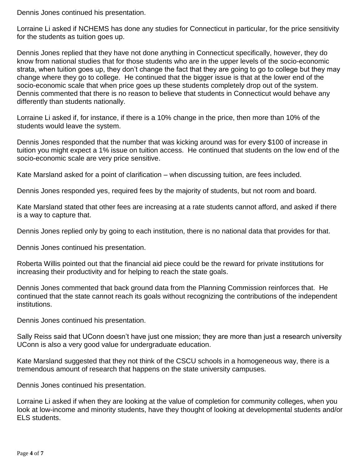Dennis Jones continued his presentation.

Lorraine Li asked if NCHEMS has done any studies for Connecticut in particular, for the price sensitivity for the students as tuition goes up.

Dennis Jones replied that they have not done anything in Connecticut specifically, however, they do know from national studies that for those students who are in the upper levels of the socio-economic strata, when tuition goes up, they don't change the fact that they are going to go to college but they may change where they go to college. He continued that the bigger issue is that at the lower end of the socio-economic scale that when price goes up these students completely drop out of the system. Dennis commented that there is no reason to believe that students in Connecticut would behave any differently than students nationally.

Lorraine Li asked if, for instance, if there is a 10% change in the price, then more than 10% of the students would leave the system.

Dennis Jones responded that the number that was kicking around was for every \$100 of increase in tuition you might expect a 1% issue on tuition access. He continued that students on the low end of the socio-economic scale are very price sensitive.

Kate Marsland asked for a point of clarification – when discussing tuition, are fees included.

Dennis Jones responded yes, required fees by the majority of students, but not room and board.

Kate Marsland stated that other fees are increasing at a rate students cannot afford, and asked if there is a way to capture that.

Dennis Jones replied only by going to each institution, there is no national data that provides for that.

Dennis Jones continued his presentation.

Roberta Willis pointed out that the financial aid piece could be the reward for private institutions for increasing their productivity and for helping to reach the state goals.

Dennis Jones commented that back ground data from the Planning Commission reinforces that. He continued that the state cannot reach its goals without recognizing the contributions of the independent institutions.

Dennis Jones continued his presentation.

Sally Reiss said that UConn doesn't have just one mission; they are more than just a research university UConn is also a very good value for undergraduate education.

Kate Marsland suggested that they not think of the CSCU schools in a homogeneous way, there is a tremendous amount of research that happens on the state university campuses.

Dennis Jones continued his presentation.

Lorraine Li asked if when they are looking at the value of completion for community colleges, when you look at low-income and minority students, have they thought of looking at developmental students and/or ELS students.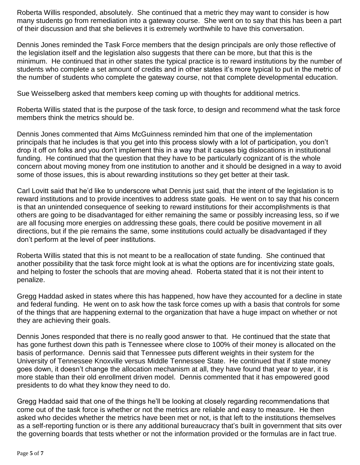Roberta Willis responded, absolutely. She continued that a metric they may want to consider is how many students go from remediation into a gateway course. She went on to say that this has been a part of their discussion and that she believes it is extremely worthwhile to have this conversation.

Dennis Jones reminded the Task Force members that the design principals are only those reflective of the legislation itself and the legislation also suggests that there can be more, but that this is the minimum. He continued that in other states the typical practice is to reward institutions by the number of students who complete a set amount of credits and in other states it's more typical to put in the metric of the number of students who complete the gateway course, not that complete developmental education.

Sue Weisselberg asked that members keep coming up with thoughts for additional metrics.

Roberta Willis stated that is the purpose of the task force, to design and recommend what the task force members think the metrics should be.

Dennis Jones commented that Aims McGuinness reminded him that one of the implementation principals that he includes is that you get into this process slowly with a lot of participation, you don't drop it off on folks and you don't implement this in a way that it causes big dislocations in institutional funding. He continued that the question that they have to be particularly cognizant of is the whole concern about moving money from one institution to another and it should be designed in a way to avoid some of those issues, this is about rewarding institutions so they get better at their task.

Carl Lovitt said that he'd like to underscore what Dennis just said, that the intent of the legislation is to reward institutions and to provide incentives to address state goals. He went on to say that his concern is that an unintended consequence of seeking to reward institutions for their accomplishments is that others are going to be disadvantaged for either remaining the same or possibly increasing less, so if we are all focusing more energies on addressing these goals, there could be positive movement in all directions, but if the pie remains the same, some institutions could actually be disadvantaged if they don't perform at the level of peer institutions.

Roberta Willis stated that this is not meant to be a reallocation of state funding. She continued that another possibility that the task force might look at is what the options are for incentivizing state goals, and helping to foster the schools that are moving ahead. Roberta stated that it is not their intent to penalize.

Gregg Haddad asked in states where this has happened, how have they accounted for a decline in state and federal funding. He went on to ask how the task force comes up with a basis that controls for some of the things that are happening external to the organization that have a huge impact on whether or not they are achieving their goals.

Dennis Jones responded that there is no really good answer to that. He continued that the state that has gone furthest down this path is Tennessee where close to 100% of their money is allocated on the basis of performance. Dennis said that Tennessee puts different weights in their system for the University of Tennessee Knoxville versus Middle Tennessee State. He continued that if state money goes down, it doesn't change the allocation mechanism at all, they have found that year to year, it is more stable than their old enrollment driven model. Dennis commented that it has empowered good presidents to do what they know they need to do.

Gregg Haddad said that one of the things he'll be looking at closely regarding recommendations that come out of the task force is whether or not the metrics are reliable and easy to measure. He then asked who decides whether the metrics have been met or not, is that left to the institutions themselves as a self-reporting function or is there any additional bureaucracy that's built in government that sits over the governing boards that tests whether or not the information provided or the formulas are in fact true.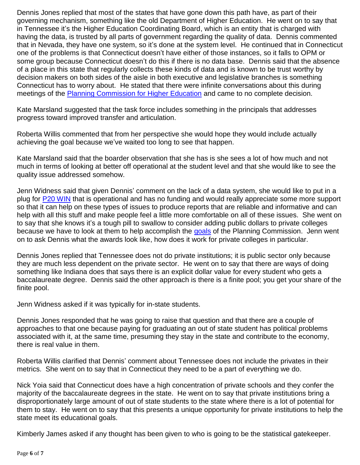Dennis Jones replied that most of the states that have gone down this path have, as part of their governing mechanism, something like the old Department of Higher Education. He went on to say that in Tennessee it's the Higher Education Coordinating Board, which is an entity that is charged with having the data, is trusted by all parts of government regarding the quality of data. Dennis commented that in Nevada, they have one system, so it's done at the system level. He continued that in Connecticut one of the problems is that Connecticut doesn't have either of those instances, so it falls to OPM or some group because Connecticut doesn't do this if there is no data base. Dennis said that the absence of a place in this state that regularly collects these kinds of data and is known to be trust worthy by decision makers on both sides of the aisle in both executive and legislative branches is something Connecticut has to worry about. He stated that there were infinite conversations about this during meetings of the **Planning Commission for Higher Education** and came to no complete decision.

Kate Marsland suggested that the task force includes something in the principals that addresses progress toward improved transfer and articulation.

Roberta Willis commented that from her perspective she would hope they would include actually achieving the goal because we've waited too long to see that happen.

Kate Marsland said that the boarder observation that she has is she sees a lot of how much and not much in terms of looking at better off operational at the student level and that she would like to see the quality issue addressed somehow.

Jenn Widness said that given Dennis' comment on the lack of a data system, she would like to put in a plug for [P20 WIN](http://www.ct.edu/initiatives/p20win) that is operational and has no funding and would really appreciate some more support so that it can help on these types of issues to produce reports that are reliable and informative and can help with all this stuff and make people feel a little more comfortable on all of these issues. She went on to say that she knows it's a tough pill to swallow to consider adding public dollars to private colleges because we have to look at them to help accomplish the [goals](https://www.cga.ct.gov/hed/tfs/20130312_Planning%20Commission%20For%20Higher%20Education/20150217/Strategic%20Plan%20for%20HIgher%20Education.pdf) of the Planning Commission. Jenn went on to ask Dennis what the awards look like, how does it work for private colleges in particular.

Dennis Jones replied that Tennessee does not do private institutions; it is public sector only because they are much less dependent on the private sector. He went on to say that there are ways of doing something like Indiana does that says there is an explicit dollar value for every student who gets a baccalaureate degree. Dennis said the other approach is there is a finite pool; you get your share of the finite pool.

Jenn Widness asked if it was typically for in-state students.

Dennis Jones responded that he was going to raise that question and that there are a couple of approaches to that one because paying for graduating an out of state student has political problems associated with it, at the same time, presuming they stay in the state and contribute to the economy, there is real value in them.

Roberta Willis clarified that Dennis' comment about Tennessee does not include the privates in their metrics. She went on to say that in Connecticut they need to be a part of everything we do.

Nick Yoia said that Connecticut does have a high concentration of private schools and they confer the majority of the baccalaureate degrees in the state. He went on to say that private institutions bring a disproportionately large amount of out of state students to the state where there is a lot of potential for them to stay. He went on to say that this presents a unique opportunity for private institutions to help the state meet its educational goals.

Kimberly James asked if any thought has been given to who is going to be the statistical gatekeeper.